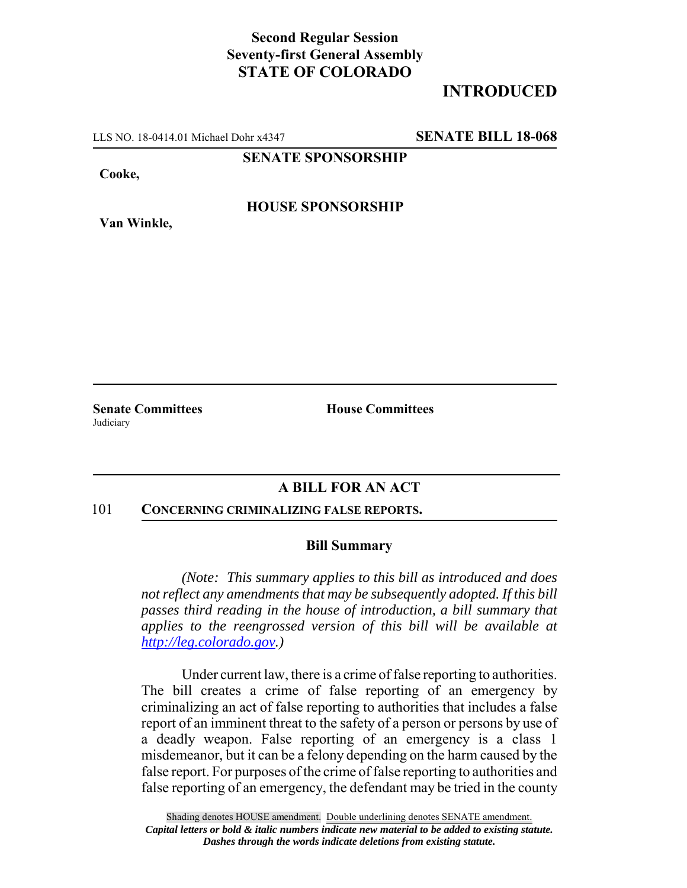## **Second Regular Session Seventy-first General Assembly STATE OF COLORADO**

# **INTRODUCED**

LLS NO. 18-0414.01 Michael Dohr x4347 **SENATE BILL 18-068**

**SENATE SPONSORSHIP**

**Cooke,**

**Van Winkle,**

**HOUSE SPONSORSHIP**

**Judiciary** 

**Senate Committees House Committees** 

### **A BILL FOR AN ACT**

#### 101 **CONCERNING CRIMINALIZING FALSE REPORTS.**

### **Bill Summary**

*(Note: This summary applies to this bill as introduced and does not reflect any amendments that may be subsequently adopted. If this bill passes third reading in the house of introduction, a bill summary that applies to the reengrossed version of this bill will be available at http://leg.colorado.gov.)*

Under current law, there is a crime of false reporting to authorities. The bill creates a crime of false reporting of an emergency by criminalizing an act of false reporting to authorities that includes a false report of an imminent threat to the safety of a person or persons by use of a deadly weapon. False reporting of an emergency is a class 1 misdemeanor, but it can be a felony depending on the harm caused by the false report. For purposes of the crime of false reporting to authorities and false reporting of an emergency, the defendant may be tried in the county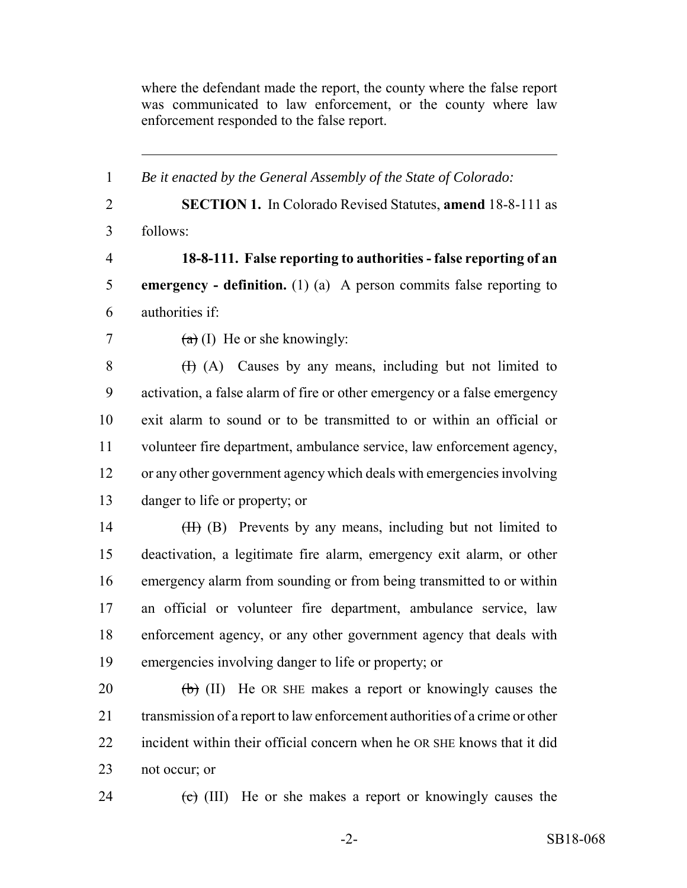where the defendant made the report, the county where the false report was communicated to law enforcement, or the county where law enforcement responded to the false report.

| $\mathbf{1}$   | Be it enacted by the General Assembly of the State of Colorado:             |
|----------------|-----------------------------------------------------------------------------|
| $\overline{2}$ | <b>SECTION 1.</b> In Colorado Revised Statutes, amend 18-8-111 as           |
| $\overline{3}$ | follows:                                                                    |
| $\overline{4}$ | 18-8-111. False reporting to authorities - false reporting of an            |
| 5              | <b>emergency</b> - definition. (1) (a) A person commits false reporting to  |
| 6              | authorities if:                                                             |
| $\overline{7}$ | $(a)$ (I) He or she knowingly:                                              |
| $8\,$          | (H) (A) Causes by any means, including but not limited to                   |
| 9              | activation, a false alarm of fire or other emergency or a false emergency   |
| 10             | exit alarm to sound or to be transmitted to or within an official or        |
| 11             | volunteer fire department, ambulance service, law enforcement agency,       |
| 12             | or any other government agency which deals with emergencies involving       |
| 13             | danger to life or property; or                                              |
| 14             | (H) (B) Prevents by any means, including but not limited to                 |
| 15             | deactivation, a legitimate fire alarm, emergency exit alarm, or other       |
| 16             | emergency alarm from sounding or from being transmitted to or within        |
| 17             | an official or volunteer fire department, ambulance service, law            |
| 18             | enforcement agency, or any other government agency that deals with          |
| 19             | emergencies involving danger to life or property; or                        |
| 20             | $\overline{(b)}$ (II) He OR SHE makes a report or knowingly causes the      |
| 21             | transmission of a report to law enforcement authorities of a crime or other |
| 22             | incident within their official concern when he OR SHE knows that it did     |
| 23             | not occur; or                                                               |
| 24             | $\overline{c}$ (III) He or she makes a report or knowingly causes the       |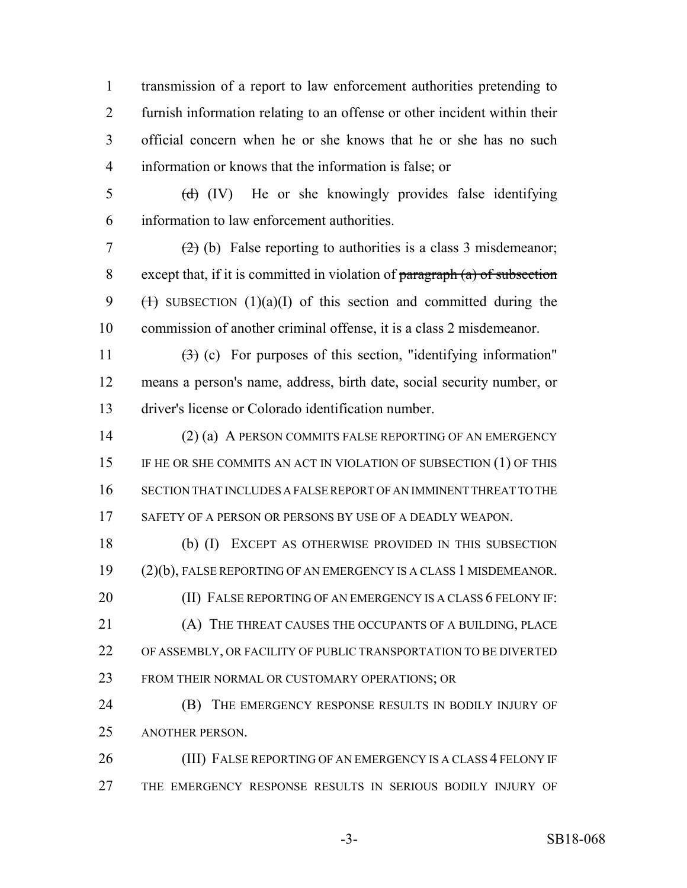transmission of a report to law enforcement authorities pretending to furnish information relating to an offense or other incident within their official concern when he or she knows that he or she has no such information or knows that the information is false; or

 $\frac{1}{2}$  (d) (IV) He or she knowingly provides false identifying information to law enforcement authorities.

7 (2) (b) False reporting to authorities is a class 3 misdemeanor; except that, if it is committed in violation of paragraph (a) of subsection 9 ( $\leftrightarrow$  SUBSECTION (1)(a)(I) of this section and committed during the commission of another criminal offense, it is a class 2 misdemeanor.

11  $(3)$  (c) For purposes of this section, "identifying information" means a person's name, address, birth date, social security number, or driver's license or Colorado identification number.

 (2) (a) A PERSON COMMITS FALSE REPORTING OF AN EMERGENCY IF HE OR SHE COMMITS AN ACT IN VIOLATION OF SUBSECTION (1) OF THIS SECTION THAT INCLUDES A FALSE REPORT OF AN IMMINENT THREAT TO THE 17 SAFETY OF A PERSON OR PERSONS BY USE OF A DEADLY WEAPON.

 (b) (I) EXCEPT AS OTHERWISE PROVIDED IN THIS SUBSECTION (2)(b), FALSE REPORTING OF AN EMERGENCY IS A CLASS 1 MISDEMEANOR. **(II) FALSE REPORTING OF AN EMERGENCY IS A CLASS 6 FELONY IF:**  (A) THE THREAT CAUSES THE OCCUPANTS OF A BUILDING, PLACE OF ASSEMBLY, OR FACILITY OF PUBLIC TRANSPORTATION TO BE DIVERTED FROM THEIR NORMAL OR CUSTOMARY OPERATIONS; OR

**(B)** THE EMERGENCY RESPONSE RESULTS IN BODILY INJURY OF ANOTHER PERSON.

26 (III) FALSE REPORTING OF AN EMERGENCY IS A CLASS 4 FELONY IF THE EMERGENCY RESPONSE RESULTS IN SERIOUS BODILY INJURY OF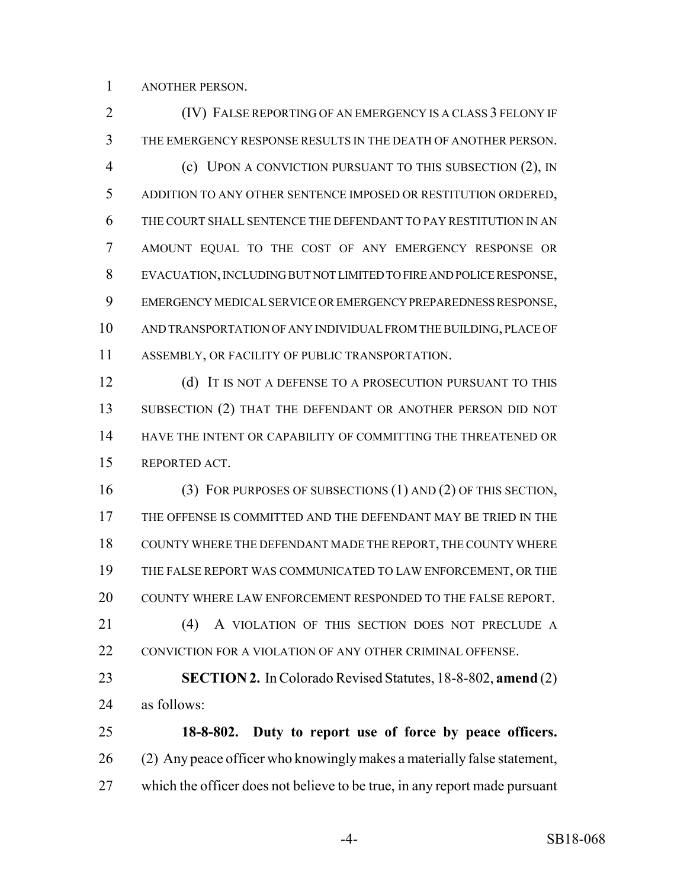ANOTHER PERSON.

**(IV) FALSE REPORTING OF AN EMERGENCY IS A CLASS 3 FELONY IF**  THE EMERGENCY RESPONSE RESULTS IN THE DEATH OF ANOTHER PERSON. (c) UPON A CONVICTION PURSUANT TO THIS SUBSECTION (2), IN ADDITION TO ANY OTHER SENTENCE IMPOSED OR RESTITUTION ORDERED, THE COURT SHALL SENTENCE THE DEFENDANT TO PAY RESTITUTION IN AN AMOUNT EQUAL TO THE COST OF ANY EMERGENCY RESPONSE OR EVACUATION, INCLUDING BUT NOT LIMITED TO FIRE AND POLICE RESPONSE, EMERGENCY MEDICAL SERVICE OR EMERGENCY PREPAREDNESS RESPONSE, AND TRANSPORTATION OF ANY INDIVIDUAL FROM THE BUILDING, PLACE OF ASSEMBLY, OR FACILITY OF PUBLIC TRANSPORTATION. 12 (d) IT IS NOT A DEFENSE TO A PROSECUTION PURSUANT TO THIS 13 SUBSECTION (2) THAT THE DEFENDANT OR ANOTHER PERSON DID NOT HAVE THE INTENT OR CAPABILITY OF COMMITTING THE THREATENED OR REPORTED ACT. (3) FOR PURPOSES OF SUBSECTIONS (1) AND (2) OF THIS SECTION, THE OFFENSE IS COMMITTED AND THE DEFENDANT MAY BE TRIED IN THE COUNTY WHERE THE DEFENDANT MADE THE REPORT, THE COUNTY WHERE THE FALSE REPORT WAS COMMUNICATED TO LAW ENFORCEMENT, OR THE COUNTY WHERE LAW ENFORCEMENT RESPONDED TO THE FALSE REPORT. (4) A VIOLATION OF THIS SECTION DOES NOT PRECLUDE A 22 CONVICTION FOR A VIOLATION OF ANY OTHER CRIMINAL OFFENSE. **SECTION 2.** In Colorado Revised Statutes, 18-8-802, **amend** (2) as follows: **18-8-802. Duty to report use of force by peace officers.** (2) Any peace officer who knowingly makes a materially false statement,

which the officer does not believe to be true, in any report made pursuant